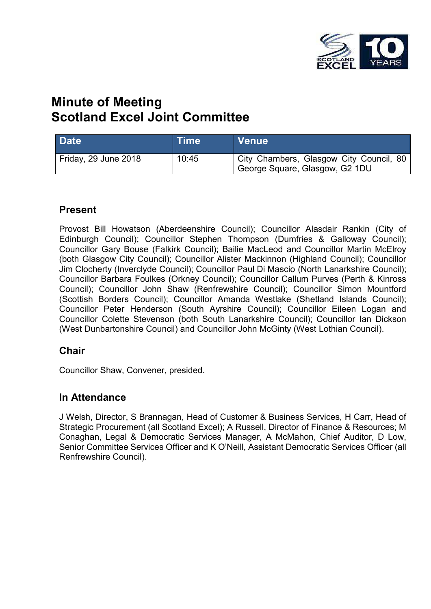

# **Minute of Meeting Scotland Excel Joint Committee**

| <b>Date</b>          | Time  | <b>Venue</b>                                                              |
|----------------------|-------|---------------------------------------------------------------------------|
| Friday, 29 June 2018 | 10:45 | City Chambers, Glasgow City Council, 80<br>George Square, Glasgow, G2 1DU |

### **Present**

Provost Bill Howatson (Aberdeenshire Council); Councillor Alasdair Rankin (City of Edinburgh Council); Councillor Stephen Thompson (Dumfries & Galloway Council); Councillor Gary Bouse (Falkirk Council); Bailie MacLeod and Councillor Martin McElroy (both Glasgow City Council); Councillor Alister Mackinnon (Highland Council); Councillor Jim Clocherty (Inverclyde Council); Councillor Paul Di Mascio (North Lanarkshire Council); Councillor Barbara Foulkes (Orkney Council); Councillor Callum Purves (Perth & Kinross Council); Councillor John Shaw (Renfrewshire Council); Councillor Simon Mountford (Scottish Borders Council); Councillor Amanda Westlake (Shetland Islands Council); Councillor Peter Henderson (South Ayrshire Council); Councillor Eileen Logan and Councillor Colette Stevenson (both South Lanarkshire Council); Councillor Ian Dickson (West Dunbartonshire Council) and Councillor John McGinty (West Lothian Council).

### **Chair**

Councillor Shaw, Convener, presided.

### **In Attendance**

J Welsh, Director, S Brannagan, Head of Customer & Business Services, H Carr, Head of Strategic Procurement (all Scotland Excel); A Russell, Director of Finance & Resources; M Conaghan, Legal & Democratic Services Manager, A McMahon, Chief Auditor, D Low, Senior Committee Services Officer and K O'Neill, Assistant Democratic Services Officer (all Renfrewshire Council).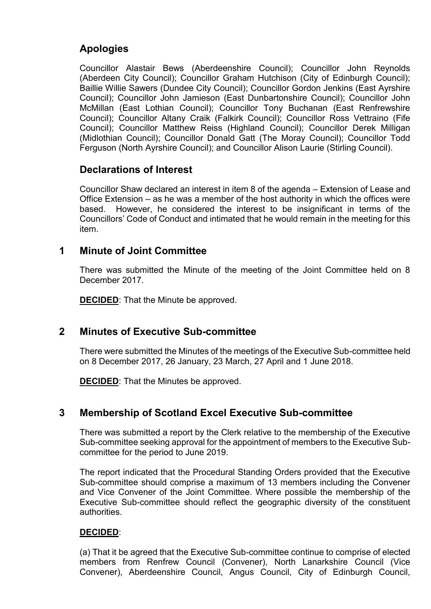### **Apologies**

Councillor Alastair Bews (Aberdeenshire Council); Councillor John Reynolds (Aberdeen City Council); Councillor Graham Hutchison (City of Edinburgh Council); Baillie Willie Sawers (Dundee City Council); Councillor Gordon Jenkins (East Ayrshire Council); Councillor John Jamieson (East Dunbartonshire Council); Councillor John McMillan (East Lothian Council); Councillor Tony Buchanan (East Renfrewshire Council); Councillor Altany Craik (Falkirk Council); Councillor Ross Vettraino (Fife Council); Councillor Matthew Reiss (Highland Council); Councillor Derek Milligan (Midlothian Council); Councillor Donald Gatt (The Moray Council); Councillor Todd Ferguson (North Ayrshire Council); and Councillor Alison Laurie (Stirling Council).

### **Declarations of Interest**

Councillor Shaw declared an interest in item 8 of the agenda – Extension of Lease and Office Extension – as he was a member of the host authority in which the offices were based. However, he considered the interest to be insignificant in terms of the Councillors' Code of Conduct and intimated that he would remain in the meeting for this item.

### **1 Minute of Joint Committee**

There was submitted the Minute of the meeting of the Joint Committee held on 8 December 2017.

**DECIDED**: That the Minute be approved.

### **2 Minutes of Executive Sub-committee**

There were submitted the Minutes of the meetings of the Executive Sub-committee held on 8 December 2017, 26 January, 23 March, 27 April and 1 June 2018.

**DECIDED**: That the Minutes be approved.

### **3 Membership of Scotland Excel Executive Sub-committee**

There was submitted a report by the Clerk relative to the membership of the Executive Sub-committee seeking approval for the appointment of members to the Executive Subcommittee for the period to June 2019.

The report indicated that the Procedural Standing Orders provided that the Executive Sub-committee should comprise a maximum of 13 members including the Convener and Vice Convener of the Joint Committee. Where possible the membership of the Executive Sub-committee should reflect the geographic diversity of the constituent authorities.

#### **DECIDED**:

(a) That it be agreed that the Executive Sub-committee continue to comprise of elected members from Renfrew Council (Convener), North Lanarkshire Council (Vice Convener), Aberdeenshire Council, Angus Council, City of Edinburgh Council,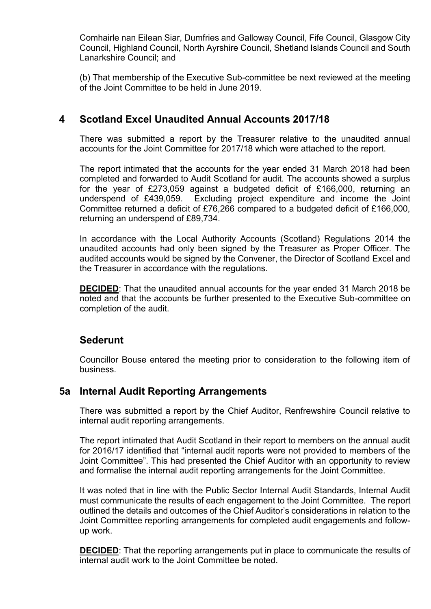Comhairle nan Eilean Siar, Dumfries and Galloway Council, Fife Council, Glasgow City Council, Highland Council, North Ayrshire Council, Shetland Islands Council and South Lanarkshire Council; and

(b) That membership of the Executive Sub-committee be next reviewed at the meeting of the Joint Committee to be held in June 2019.

### **4 Scotland Excel Unaudited Annual Accounts 2017/18**

There was submitted a report by the Treasurer relative to the unaudited annual accounts for the Joint Committee for 2017/18 which were attached to the report.

The report intimated that the accounts for the year ended 31 March 2018 had been completed and forwarded to Audit Scotland for audit. The accounts showed a surplus for the year of £273,059 against a budgeted deficit of £166,000, returning an underspend of £439,059. Excluding project expenditure and income the Joint Committee returned a deficit of £76,266 compared to a budgeted deficit of £166,000, returning an underspend of £89,734.

In accordance with the Local Authority Accounts (Scotland) Regulations 2014 the unaudited accounts had only been signed by the Treasurer as Proper Officer. The audited accounts would be signed by the Convener, the Director of Scotland Excel and the Treasurer in accordance with the regulations.

**DECIDED**: That the unaudited annual accounts for the year ended 31 March 2018 be noted and that the accounts be further presented to the Executive Sub-committee on completion of the audit.

### **Sederunt**

Councillor Bouse entered the meeting prior to consideration to the following item of business.

### **5a Internal Audit Reporting Arrangements**

There was submitted a report by the Chief Auditor, Renfrewshire Council relative to internal audit reporting arrangements.

The report intimated that Audit Scotland in their report to members on the annual audit for 2016/17 identified that "internal audit reports were not provided to members of the Joint Committee". This had presented the Chief Auditor with an opportunity to review and formalise the internal audit reporting arrangements for the Joint Committee.

It was noted that in line with the Public Sector Internal Audit Standards, Internal Audit must communicate the results of each engagement to the Joint Committee. The report outlined the details and outcomes of the Chief Auditor's considerations in relation to the Joint Committee reporting arrangements for completed audit engagements and followup work.

**DECIDED:** That the reporting arrangements put in place to communicate the results of internal audit work to the Joint Committee be noted.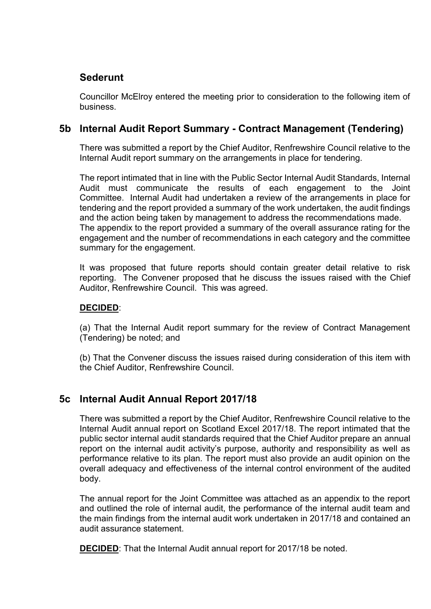### **Sederunt**

Councillor McElroy entered the meeting prior to consideration to the following item of business.

### **5b Internal Audit Report Summary - Contract Management (Tendering)**

There was submitted a report by the Chief Auditor, Renfrewshire Council relative to the Internal Audit report summary on the arrangements in place for tendering.

The report intimated that in line with the Public Sector Internal Audit Standards, Internal Audit must communicate the results of each engagement to the Joint Committee. Internal Audit had undertaken a review of the arrangements in place for tendering and the report provided a summary of the work undertaken, the audit findings and the action being taken by management to address the recommendations made. The appendix to the report provided a summary of the overall assurance rating for the engagement and the number of recommendations in each category and the committee summary for the engagement.

It was proposed that future reports should contain greater detail relative to risk reporting. The Convener proposed that he discuss the issues raised with the Chief Auditor, Renfrewshire Council. This was agreed.

#### **DECIDED**:

(a) That the Internal Audit report summary for the review of Contract Management (Tendering) be noted; and

(b) That the Convener discuss the issues raised during consideration of this item with the Chief Auditor, Renfrewshire Council.

### **5c Internal Audit Annual Report 2017/18**

There was submitted a report by the Chief Auditor, Renfrewshire Council relative to the Internal Audit annual report on Scotland Excel 2017/18. The report intimated that the public sector internal audit standards required that the Chief Auditor prepare an annual report on the internal audit activity's purpose, authority and responsibility as well as performance relative to its plan. The report must also provide an audit opinion on the overall adequacy and effectiveness of the internal control environment of the audited body.

The annual report for the Joint Committee was attached as an appendix to the report and outlined the role of internal audit, the performance of the internal audit team and the main findings from the internal audit work undertaken in 2017/18 and contained an audit assurance statement.

**DECIDED**: That the Internal Audit annual report for 2017/18 be noted.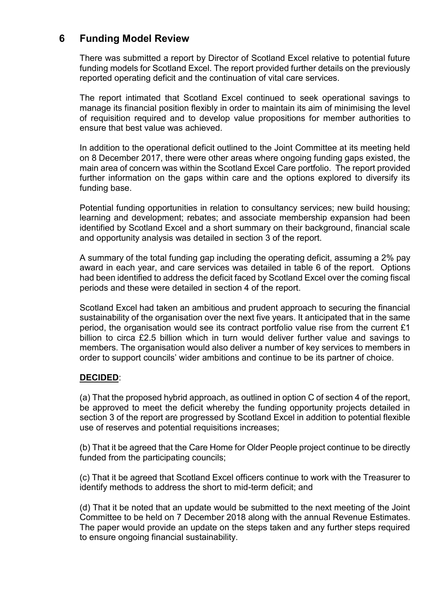### **6 Funding Model Review**

There was submitted a report by Director of Scotland Excel relative to potential future funding models for Scotland Excel. The report provided further details on the previously reported operating deficit and the continuation of vital care services.

The report intimated that Scotland Excel continued to seek operational savings to manage its financial position flexibly in order to maintain its aim of minimising the level of requisition required and to develop value propositions for member authorities to ensure that best value was achieved.

In addition to the operational deficit outlined to the Joint Committee at its meeting held on 8 December 2017, there were other areas where ongoing funding gaps existed, the main area of concern was within the Scotland Excel Care portfolio. The report provided further information on the gaps within care and the options explored to diversify its funding base.

Potential funding opportunities in relation to consultancy services; new build housing; learning and development; rebates; and associate membership expansion had been identified by Scotland Excel and a short summary on their background, financial scale and opportunity analysis was detailed in section 3 of the report.

A summary of the total funding gap including the operating deficit, assuming a 2% pay award in each year, and care services was detailed in table 6 of the report. Options had been identified to address the deficit faced by Scotland Excel over the coming fiscal periods and these were detailed in section 4 of the report.

Scotland Excel had taken an ambitious and prudent approach to securing the financial sustainability of the organisation over the next five years. It anticipated that in the same period, the organisation would see its contract portfolio value rise from the current £1 billion to circa £2.5 billion which in turn would deliver further value and savings to members. The organisation would also deliver a number of key services to members in order to support councils' wider ambitions and continue to be its partner of choice.

#### **DECIDED**:

(a) That the proposed hybrid approach, as outlined in option C of section 4 of the report, be approved to meet the deficit whereby the funding opportunity projects detailed in section 3 of the report are progressed by Scotland Excel in addition to potential flexible use of reserves and potential requisitions increases;

(b) That it be agreed that the Care Home for Older People project continue to be directly funded from the participating councils;

(c) That it be agreed that Scotland Excel officers continue to work with the Treasurer to identify methods to address the short to mid-term deficit; and

(d) That it be noted that an update would be submitted to the next meeting of the Joint Committee to be held on 7 December 2018 along with the annual Revenue Estimates. The paper would provide an update on the steps taken and any further steps required to ensure ongoing financial sustainability.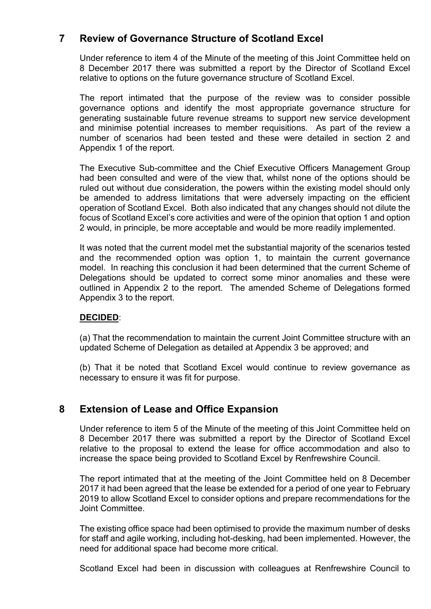### **7 Review of Governance Structure of Scotland Excel**

Under reference to item 4 of the Minute of the meeting of this Joint Committee held on 8 December 2017 there was submitted a report by the Director of Scotland Excel relative to options on the future governance structure of Scotland Excel.

The report intimated that the purpose of the review was to consider possible governance options and identify the most appropriate governance structure for generating sustainable future revenue streams to support new service development and minimise potential increases to member requisitions. As part of the review a number of scenarios had been tested and these were detailed in section 2 and Appendix 1 of the report.

The Executive Sub-committee and the Chief Executive Officers Management Group had been consulted and were of the view that, whilst none of the options should be ruled out without due consideration, the powers within the existing model should only be amended to address limitations that were adversely impacting on the efficient operation of Scotland Excel. Both also indicated that any changes should not dilute the focus of Scotland Excel's core activities and were of the opinion that option 1 and option 2 would, in principle, be more acceptable and would be more readily implemented.

It was noted that the current model met the substantial majority of the scenarios tested and the recommended option was option 1, to maintain the current governance model. In reaching this conclusion it had been determined that the current Scheme of Delegations should be updated to correct some minor anomalies and these were outlined in Appendix 2 to the report. The amended Scheme of Delegations formed Appendix 3 to the report.

#### **DECIDED**:

(a) That the recommendation to maintain the current Joint Committee structure with an updated Scheme of Delegation as detailed at Appendix 3 be approved; and

(b) That it be noted that Scotland Excel would continue to review governance as necessary to ensure it was fit for purpose.

### **8 Extension of Lease and Office Expansion**

Under reference to item 5 of the Minute of the meeting of this Joint Committee held on 8 December 2017 there was submitted a report by the Director of Scotland Excel relative to the proposal to extend the lease for office accommodation and also to increase the space being provided to Scotland Excel by Renfrewshire Council.

The report intimated that at the meeting of the Joint Committee held on 8 December 2017 it had been agreed that the lease be extended for a period of one year to February 2019 to allow Scotland Excel to consider options and prepare recommendations for the Joint Committee.

The existing office space had been optimised to provide the maximum number of desks for staff and agile working, including hot-desking, had been implemented. However, the need for additional space had become more critical.

Scotland Excel had been in discussion with colleagues at Renfrewshire Council to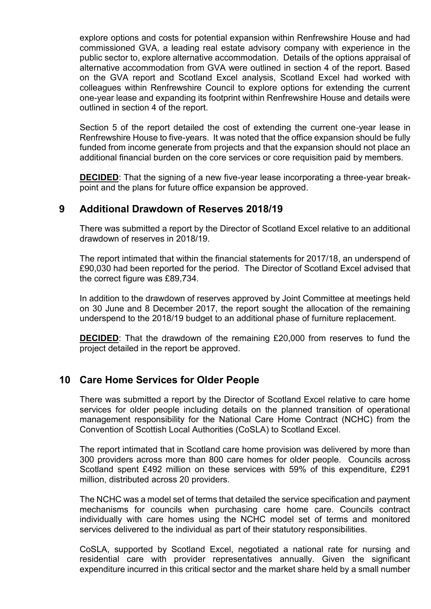explore options and costs for potential expansion within Renfrewshire House and had commissioned GVA, a leading real estate advisory company with experience in the public sector to, explore alternative accommodation. Details of the options appraisal of alternative accommodation from GVA were outlined in section 4 of the report. Based on the GVA report and Scotland Excel analysis, Scotland Excel had worked with colleagues within Renfrewshire Council to explore options for extending the current one-year lease and expanding its footprint within Renfrewshire House and details were outlined in section 4 of the report.

Section 5 of the report detailed the cost of extending the current one-year lease in Renfrewshire House to five-years. It was noted that the office expansion should be fully funded from income generate from projects and that the expansion should not place an additional financial burden on the core services or core requisition paid by members.

**DECIDED**: That the signing of a new five-year lease incorporating a three-year breakpoint and the plans for future office expansion be approved.

### **9 Additional Drawdown of Reserves 2018/19**

There was submitted a report by the Director of Scotland Excel relative to an additional drawdown of reserves in 2018/19.

The report intimated that within the financial statements for 2017/18, an underspend of £90,030 had been reported for the period. The Director of Scotland Excel advised that the correct figure was £89,734.

In addition to the drawdown of reserves approved by Joint Committee at meetings held on 30 June and 8 December 2017, the report sought the allocation of the remaining underspend to the 2018/19 budget to an additional phase of furniture replacement.

**DECIDED:** That the drawdown of the remaining £20,000 from reserves to fund the project detailed in the report be approved.

### **10 Care Home Services for Older People**

There was submitted a report by the Director of Scotland Excel relative to care home services for older people including details on the planned transition of operational management responsibility for the National Care Home Contract (NCHC) from the Convention of Scottish Local Authorities (CoSLA) to Scotland Excel.

The report intimated that in Scotland care home provision was delivered by more than 300 providers across more than 800 care homes for older people. Councils across Scotland spent £492 million on these services with 59% of this expenditure, £291 million, distributed across 20 providers.

The NCHC was a model set of terms that detailed the service specification and payment mechanisms for councils when purchasing care home care. Councils contract individually with care homes using the NCHC model set of terms and monitored services delivered to the individual as part of their statutory responsibilities.

CoSLA, supported by Scotland Excel, negotiated a national rate for nursing and residential care with provider representatives annually. Given the significant expenditure incurred in this critical sector and the market share held by a small number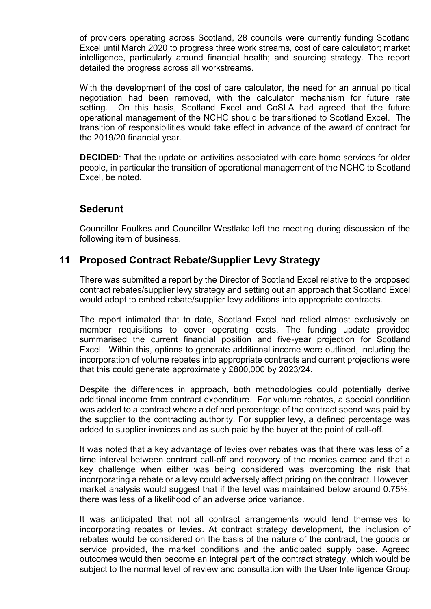of providers operating across Scotland, 28 councils were currently funding Scotland Excel until March 2020 to progress three work streams, cost of care calculator; market intelligence, particularly around financial health; and sourcing strategy. The report detailed the progress across all workstreams.

With the development of the cost of care calculator, the need for an annual political negotiation had been removed, with the calculator mechanism for future rate setting. On this basis, Scotland Excel and CoSLA had agreed that the future operational management of the NCHC should be transitioned to Scotland Excel. The transition of responsibilities would take effect in advance of the award of contract for the 2019/20 financial year.

**DECIDED**: That the update on activities associated with care home services for older people, in particular the transition of operational management of the NCHC to Scotland Excel, be noted.

### **Sederunt**

Councillor Foulkes and Councillor Westlake left the meeting during discussion of the following item of business.

### **11 Proposed Contract Rebate/Supplier Levy Strategy**

There was submitted a report by the Director of Scotland Excel relative to the proposed contract rebates/supplier levy strategy and setting out an approach that Scotland Excel would adopt to embed rebate/supplier levy additions into appropriate contracts.

The report intimated that to date, Scotland Excel had relied almost exclusively on member requisitions to cover operating costs. The funding update provided summarised the current financial position and five-year projection for Scotland Excel. Within this, options to generate additional income were outlined, including the incorporation of volume rebates into appropriate contracts and current projections were that this could generate approximately £800,000 by 2023/24.

Despite the differences in approach, both methodologies could potentially derive additional income from contract expenditure. For volume rebates, a special condition was added to a contract where a defined percentage of the contract spend was paid by the supplier to the contracting authority. For supplier levy, a defined percentage was added to supplier invoices and as such paid by the buyer at the point of call-off.

It was noted that a key advantage of levies over rebates was that there was less of a time interval between contract call-off and recovery of the monies earned and that a key challenge when either was being considered was overcoming the risk that incorporating a rebate or a levy could adversely affect pricing on the contract. However, market analysis would suggest that if the level was maintained below around 0.75%, there was less of a likelihood of an adverse price variance.

It was anticipated that not all contract arrangements would lend themselves to incorporating rebates or levies. At contract strategy development, the inclusion of rebates would be considered on the basis of the nature of the contract, the goods or service provided, the market conditions and the anticipated supply base. Agreed outcomes would then become an integral part of the contract strategy, which would be subject to the normal level of review and consultation with the User Intelligence Group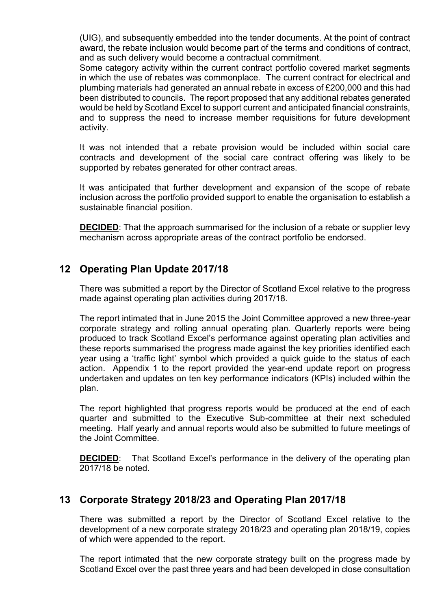(UIG), and subsequently embedded into the tender documents. At the point of contract award, the rebate inclusion would become part of the terms and conditions of contract, and as such delivery would become a contractual commitment.

Some category activity within the current contract portfolio covered market segments in which the use of rebates was commonplace. The current contract for electrical and plumbing materials had generated an annual rebate in excess of £200,000 and this had been distributed to councils. The report proposed that any additional rebates generated would be held by Scotland Excel to support current and anticipated financial constraints, and to suppress the need to increase member requisitions for future development activity.

It was not intended that a rebate provision would be included within social care contracts and development of the social care contract offering was likely to be supported by rebates generated for other contract areas.

It was anticipated that further development and expansion of the scope of rebate inclusion across the portfolio provided support to enable the organisation to establish a sustainable financial position.

**DECIDED**: That the approach summarised for the inclusion of a rebate or supplier levy mechanism across appropriate areas of the contract portfolio be endorsed.

### **12 Operating Plan Update 2017/18**

There was submitted a report by the Director of Scotland Excel relative to the progress made against operating plan activities during 2017/18.

The report intimated that in June 2015 the Joint Committee approved a new three-year corporate strategy and rolling annual operating plan. Quarterly reports were being produced to track Scotland Excel's performance against operating plan activities and these reports summarised the progress made against the key priorities identified each year using a 'traffic light' symbol which provided a quick guide to the status of each action. Appendix 1 to the report provided the year-end update report on progress undertaken and updates on ten key performance indicators (KPIs) included within the plan.

The report highlighted that progress reports would be produced at the end of each quarter and submitted to the Executive Sub-committee at their next scheduled meeting. Half yearly and annual reports would also be submitted to future meetings of the Joint Committee.

**DECIDED:** That Scotland Excel's performance in the delivery of the operating plan 2017/18 be noted.

### **13 Corporate Strategy 2018/23 and Operating Plan 2017/18**

There was submitted a report by the Director of Scotland Excel relative to the development of a new corporate strategy 2018/23 and operating plan 2018/19, copies of which were appended to the report.

The report intimated that the new corporate strategy built on the progress made by Scotland Excel over the past three years and had been developed in close consultation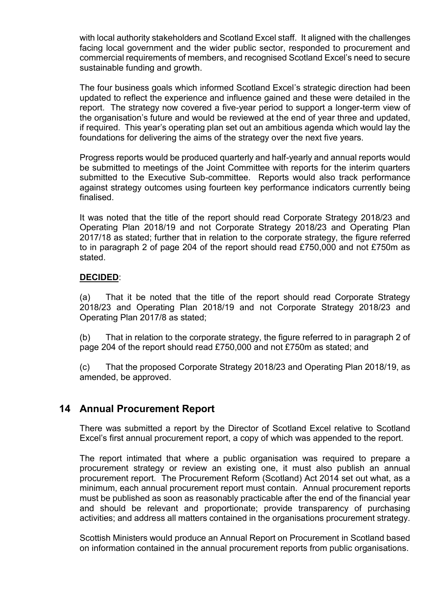with local authority stakeholders and Scotland Excel staff. It aligned with the challenges facing local government and the wider public sector, responded to procurement and commercial requirements of members, and recognised Scotland Excel's need to secure sustainable funding and growth.

The four business goals which informed Scotland Excel's strategic direction had been updated to reflect the experience and influence gained and these were detailed in the report. The strategy now covered a five-year period to support a longer-term view of the organisation's future and would be reviewed at the end of year three and updated, if required. This year's operating plan set out an ambitious agenda which would lay the foundations for delivering the aims of the strategy over the next five years.

Progress reports would be produced quarterly and half-yearly and annual reports would be submitted to meetings of the Joint Committee with reports for the interim quarters submitted to the Executive Sub-committee. Reports would also track performance against strategy outcomes using fourteen key performance indicators currently being finalised.

It was noted that the title of the report should read Corporate Strategy 2018/23 and Operating Plan 2018/19 and not Corporate Strategy 2018/23 and Operating Plan 2017/18 as stated; further that in relation to the corporate strategy, the figure referred to in paragraph 2 of page 204 of the report should read £750,000 and not £750m as stated.

#### **DECIDED**:

(a) That it be noted that the title of the report should read Corporate Strategy 2018/23 and Operating Plan 2018/19 and not Corporate Strategy 2018/23 and Operating Plan 2017/8 as stated;

(b) That in relation to the corporate strategy, the figure referred to in paragraph 2 of page 204 of the report should read £750,000 and not £750m as stated; and

(c) That the proposed Corporate Strategy 2018/23 and Operating Plan 2018/19, as amended, be approved.

### **14 Annual Procurement Report**

There was submitted a report by the Director of Scotland Excel relative to Scotland Excel's first annual procurement report, a copy of which was appended to the report.

The report intimated that where a public organisation was required to prepare a procurement strategy or review an existing one, it must also publish an annual procurement report. The Procurement Reform (Scotland) Act 2014 set out what, as a minimum, each annual procurement report must contain. Annual procurement reports must be published as soon as reasonably practicable after the end of the financial year and should be relevant and proportionate; provide transparency of purchasing activities; and address all matters contained in the organisations procurement strategy.

Scottish Ministers would produce an Annual Report on Procurement in Scotland based on information contained in the annual procurement reports from public organisations.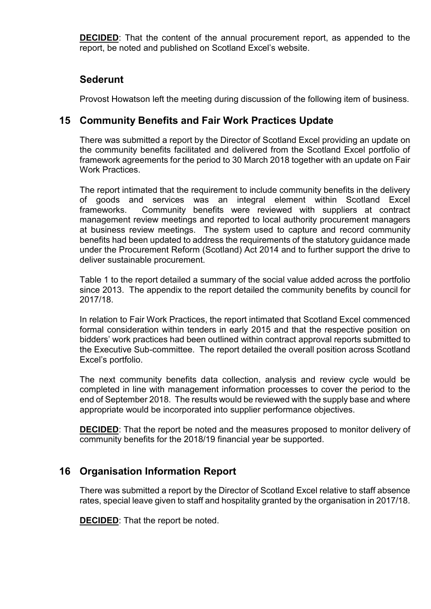**DECIDED**: That the content of the annual procurement report, as appended to the report, be noted and published on Scotland Excel's website.

### **Sederunt**

Provost Howatson left the meeting during discussion of the following item of business.

### **15 Community Benefits and Fair Work Practices Update**

There was submitted a report by the Director of Scotland Excel providing an update on the community benefits facilitated and delivered from the Scotland Excel portfolio of framework agreements for the period to 30 March 2018 together with an update on Fair Work Practices.

The report intimated that the requirement to include community benefits in the delivery of goods and services was an integral element within Scotland Excel frameworks. Community benefits were reviewed with suppliers at contract management review meetings and reported to local authority procurement managers at business review meetings. The system used to capture and record community benefits had been updated to address the requirements of the statutory guidance made under the Procurement Reform (Scotland) Act 2014 and to further support the drive to deliver sustainable procurement.

Table 1 to the report detailed a summary of the social value added across the portfolio since 2013. The appendix to the report detailed the community benefits by council for 2017/18.

In relation to Fair Work Practices, the report intimated that Scotland Excel commenced formal consideration within tenders in early 2015 and that the respective position on bidders' work practices had been outlined within contract approval reports submitted to the Executive Sub-committee. The report detailed the overall position across Scotland Excel's portfolio.

The next community benefits data collection, analysis and review cycle would be completed in line with management information processes to cover the period to the end of September 2018. The results would be reviewed with the supply base and where appropriate would be incorporated into supplier performance objectives.

**DECIDED**: That the report be noted and the measures proposed to monitor delivery of community benefits for the 2018/19 financial year be supported.

### **16 Organisation Information Report**

There was submitted a report by the Director of Scotland Excel relative to staff absence rates, special leave given to staff and hospitality granted by the organisation in 2017/18.

**DECIDED**: That the report be noted.